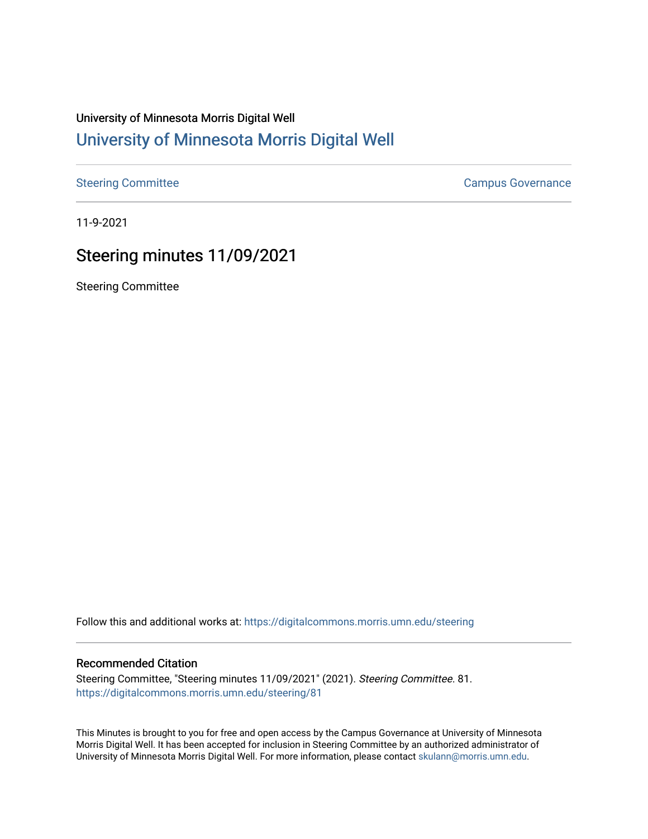## University of Minnesota Morris Digital Well [University of Minnesota Morris Digital Well](https://digitalcommons.morris.umn.edu/)

[Steering Committee](https://digitalcommons.morris.umn.edu/steering) **Campus Governance** Campus Governance

11-9-2021

## Steering minutes 11/09/2021

Steering Committee

Follow this and additional works at: [https://digitalcommons.morris.umn.edu/steering](https://digitalcommons.morris.umn.edu/steering?utm_source=digitalcommons.morris.umn.edu%2Fsteering%2F81&utm_medium=PDF&utm_campaign=PDFCoverPages)

## Recommended Citation

Steering Committee, "Steering minutes 11/09/2021" (2021). Steering Committee. 81. [https://digitalcommons.morris.umn.edu/steering/81](https://digitalcommons.morris.umn.edu/steering/81?utm_source=digitalcommons.morris.umn.edu%2Fsteering%2F81&utm_medium=PDF&utm_campaign=PDFCoverPages) 

This Minutes is brought to you for free and open access by the Campus Governance at University of Minnesota Morris Digital Well. It has been accepted for inclusion in Steering Committee by an authorized administrator of University of Minnesota Morris Digital Well. For more information, please contact [skulann@morris.umn.edu](mailto:skulann@morris.umn.edu).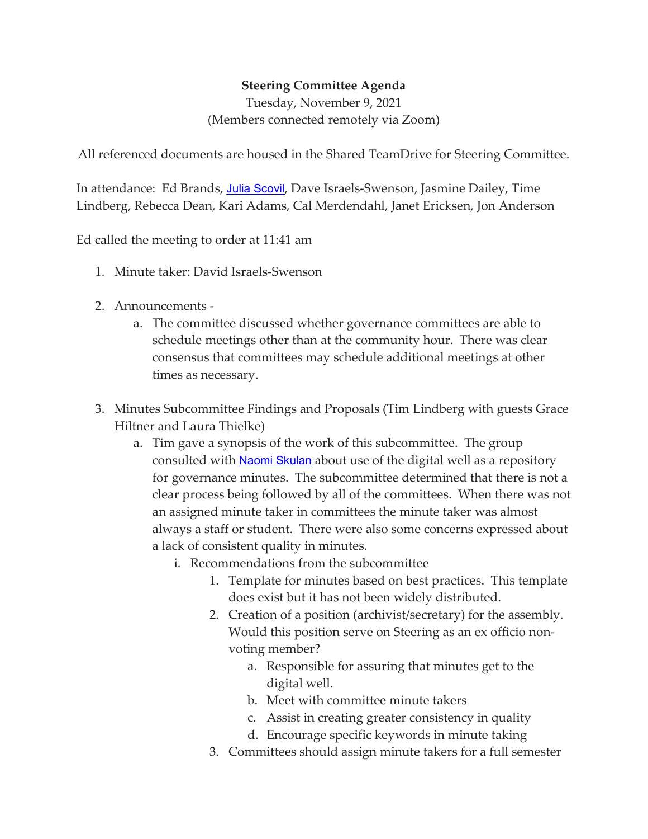## **Steering Committee Agenda**

Tuesday, November 9, 2021 (Members connected remotely via Zoom)

All referenced documents are housed in the Shared TeamDrive for Steering Committee.

In attendance: Ed Brands, [Julia Scovil](mailto:scovi018@morris.umn.edu), Dave Israels-Swenson, Jasmine Dailey, Time Lindberg, Rebecca Dean, Kari Adams, Cal Merdendahl, Janet Ericksen, Jon Anderson

Ed called the meeting to order at 11:41 am

- 1. Minute taker: David Israels-Swenson
- 2. Announcements
	- a. The committee discussed whether governance committees are able to schedule meetings other than at the community hour. There was clear consensus that committees may schedule additional meetings at other times as necessary.
- 3. Minutes Subcommittee Findings and Proposals (Tim Lindberg with guests Grace Hiltner and Laura Thielke)
	- a. Tim gave a synopsis of the work of this subcommittee. The group consulted with **[Naomi Skulan](mailto:skulann@morris.umn.edu)** about use of the digital well as a repository for governance minutes. The subcommittee determined that there is not a clear process being followed by all of the committees. When there was not an assigned minute taker in committees the minute taker was almost always a staff or student. There were also some concerns expressed about a lack of consistent quality in minutes.
		- i. Recommendations from the subcommittee
			- 1. Template for minutes based on best practices. This template does exist but it has not been widely distributed.
			- 2. Creation of a position (archivist/secretary) for the assembly. Would this position serve on Steering as an ex officio nonvoting member?
				- a. Responsible for assuring that minutes get to the digital well.
				- b. Meet with committee minute takers
				- c. Assist in creating greater consistency in quality
				- d. Encourage specific keywords in minute taking
			- 3. Committees should assign minute takers for a full semester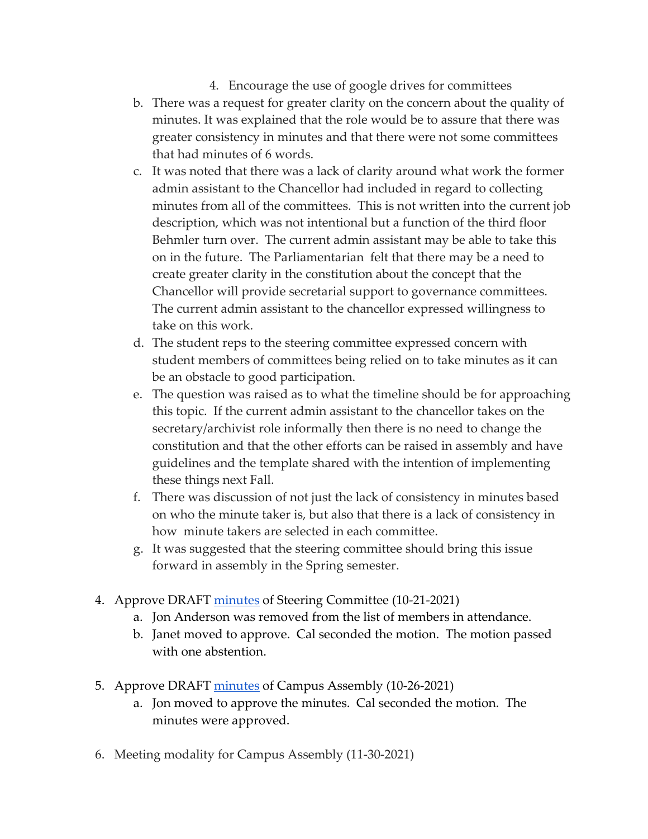- 4. Encourage the use of google drives for committees
- b. There was a request for greater clarity on the concern about the quality of minutes. It was explained that the role would be to assure that there was greater consistency in minutes and that there were not some committees that had minutes of 6 words.
- c. It was noted that there was a lack of clarity around what work the former admin assistant to the Chancellor had included in regard to collecting minutes from all of the committees. This is not written into the current job description, which was not intentional but a function of the third floor Behmler turn over. The current admin assistant may be able to take this on in the future. The Parliamentarian felt that there may be a need to create greater clarity in the constitution about the concept that the Chancellor will provide secretarial support to governance committees. The current admin assistant to the chancellor expressed willingness to take on this work.
- d. The student reps to the steering committee expressed concern with student members of committees being relied on to take minutes as it can be an obstacle to good participation.
- e. The question was raised as to what the timeline should be for approaching this topic. If the current admin assistant to the chancellor takes on the secretary/archivist role informally then there is no need to change the constitution and that the other efforts can be raised in assembly and have guidelines and the template shared with the intention of implementing these things next Fall.
- f. There was discussion of not just the lack of consistency in minutes based on who the minute taker is, but also that there is a lack of consistency in how minute takers are selected in each committee.
- g. It was suggested that the steering committee should bring this issue forward in assembly in the Spring semester.
- 4. Approve DRAFT [minutes](https://docs.google.com/document/d/1Kq1FBMX4X2wS0vXqcYwClZz_0H_gu32aZoilkzkcJLg/edit) of Steering Committee (10-21-2021)
	- a. Jon Anderson was removed from the list of members in attendance.
	- b. Janet moved to approve. Cal seconded the motion. The motion passed with one abstention.
- 5. Approve DRAFT [minutes](https://docs.google.com/document/d/1xx46n5YY2UMxyEbXkfg2p4gfQ42SO9d8zraQnY75NoE/edit) of Campus Assembly (10-26-2021)
	- a. Jon moved to approve the minutes. Cal seconded the motion. The minutes were approved.
- 6. Meeting modality for Campus Assembly (11-30-2021)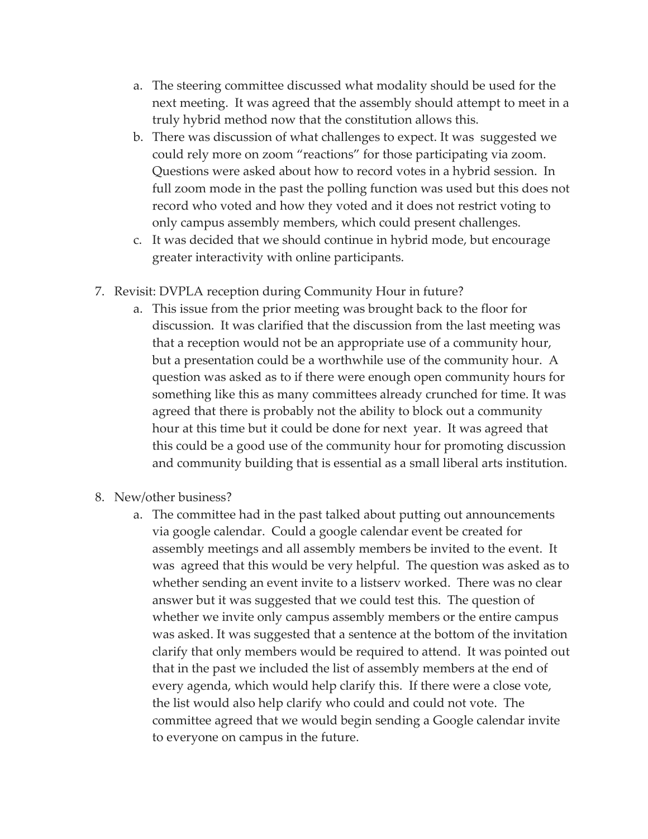- a. The steering committee discussed what modality should be used for the next meeting. It was agreed that the assembly should attempt to meet in a truly hybrid method now that the constitution allows this.
- b. There was discussion of what challenges to expect. It was suggested we could rely more on zoom "reactions" for those participating via zoom. Questions were asked about how to record votes in a hybrid session. In full zoom mode in the past the polling function was used but this does not record who voted and how they voted and it does not restrict voting to only campus assembly members, which could present challenges.
- c. It was decided that we should continue in hybrid mode, but encourage greater interactivity with online participants.
- 7. Revisit: DVPLA reception during Community Hour in future?
	- a. This issue from the prior meeting was brought back to the floor for discussion. It was clarified that the discussion from the last meeting was that a reception would not be an appropriate use of a community hour, but a presentation could be a worthwhile use of the community hour. A question was asked as to if there were enough open community hours for something like this as many committees already crunched for time. It was agreed that there is probably not the ability to block out a community hour at this time but it could be done for next year. It was agreed that this could be a good use of the community hour for promoting discussion and community building that is essential as a small liberal arts institution.
- 8. New/other business?
	- a. The committee had in the past talked about putting out announcements via google calendar. Could a google calendar event be created for assembly meetings and all assembly members be invited to the event. It was agreed that this would be very helpful. The question was asked as to whether sending an event invite to a listserv worked. There was no clear answer but it was suggested that we could test this. The question of whether we invite only campus assembly members or the entire campus was asked. It was suggested that a sentence at the bottom of the invitation clarify that only members would be required to attend. It was pointed out that in the past we included the list of assembly members at the end of every agenda, which would help clarify this. If there were a close vote, the list would also help clarify who could and could not vote. The committee agreed that we would begin sending a Google calendar invite to everyone on campus in the future.